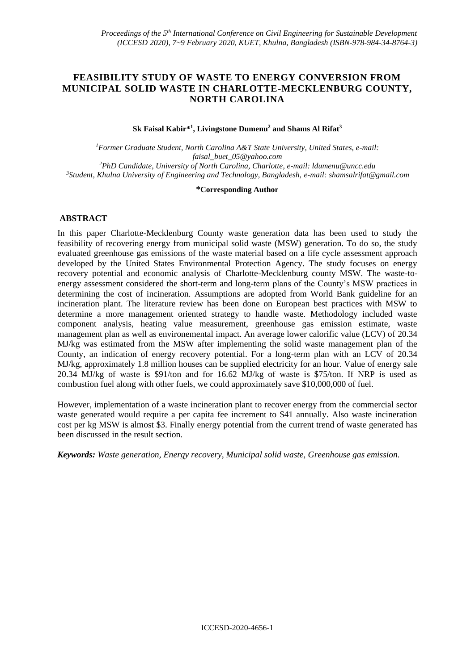# **FEASIBILITY STUDY OF WASTE TO ENERGY CONVERSION FROM MUNICIPAL SOLID WASTE IN CHARLOTTE-MECKLENBURG COUNTY, NORTH CAROLINA**

## **Sk Faisal Kabir\*<sup>1</sup> , Livingstone Dumenu<sup>2</sup> and Shams Al Rifat<sup>3</sup>**

*Former Graduate Student, North Carolina A&T State University, United States, e-mail: faisal\_buet\_05@yahoo.com PhD Candidate, University of North Carolina, Charlotte, e-mail: ldumenu@uncc.edu Student, Khulna University of Engineering and Technology, Bangladesh, e-mail: shamsalrifat@gmail.com*

#### **\*Corresponding Author**

## **ABSTRACT**

In this paper Charlotte-Mecklenburg County waste generation data has been used to study the feasibility of recovering energy from municipal solid waste (MSW) generation. To do so, the study evaluated greenhouse gas emissions of the waste material based on a life cycle assessment approach developed by the United States Environmental Protection Agency. The study focuses on energy recovery potential and economic analysis of Charlotte-Mecklenburg county MSW. The waste-toenergy assessment considered the short-term and long-term plans of the County's MSW practices in determining the cost of incineration. Assumptions are adopted from World Bank guideline for an incineration plant. The literature review has been done on European best practices with MSW to determine a more management oriented strategy to handle waste. Methodology included waste component analysis, heating value measurement, greenhouse gas emission estimate, waste management plan as well as environemental impact. An average lower calorific value (LCV) of 20.34 MJ/kg was estimated from the MSW after implementing the solid waste management plan of the County, an indication of energy recovery potential. For a long-term plan with an LCV of 20.34 MJ/kg, approximately 1.8 million houses can be supplied electricity for an hour. Value of energy sale 20.34 MJ/kg of waste is \$91/ton and for 16.62 MJ/kg of waste is \$75/ton. If NRP is used as combustion fuel along with other fuels, we could approximately save \$10,000,000 of fuel.

However, implementation of a waste incineration plant to recover energy from the commercial sector waste generated would require a per capita fee increment to \$41 annually. Also waste incineration cost per kg MSW is almost \$3. Finally energy potential from the current trend of waste generated has been discussed in the result section.

*Keywords: Waste generation, Energy recovery, Municipal solid waste, Greenhouse gas emission.*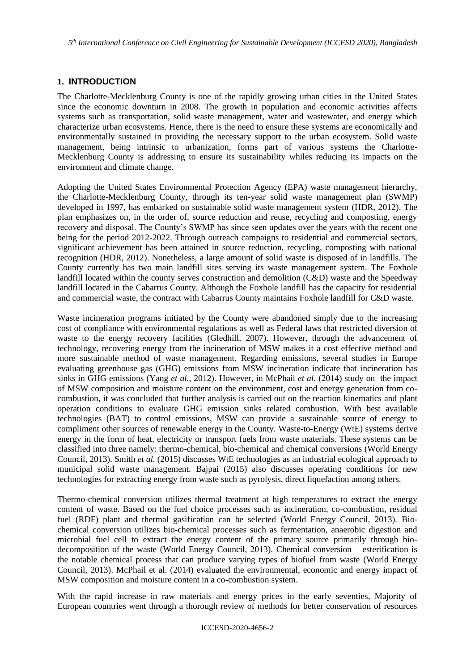## **1. INTRODUCTION**

The Charlotte-Mecklenburg County is one of the rapidly growing urban cities in the United States since the economic downturn in 2008. The growth in population and economic activities affects systems such as transportation, solid waste management, water and wastewater, and energy which characterize urban ecosystems. Hence, there is the need to ensure these systems are economically and environmentally sustained in providing the necessary support to the urban ecosystem. Solid waste management, being intrinsic to urbanization, forms part of various systems the Charlotte-Mecklenburg County is addressing to ensure its sustainability whiles reducing its impacts on the environment and climate change.

Adopting the United States Environmental Protection Agency (EPA) waste management hierarchy, the Charlotte-Mecklenburg County, through its ten-year solid waste management plan (SWMP) developed in 1997, has embarked on sustainable solid waste management system (HDR, 2012). The plan emphasizes on, in the order of, source reduction and reuse, recycling and composting, energy recovery and disposal. The County's SWMP has since seen updates over the years with the recent one being for the period 2012-2022. Through outreach campaigns to residential and commercial sectors, significant achievement has been attained in source reduction, recycling, composting with national recognition (HDR, 2012). Nonetheless, a large amount of solid waste is disposed of in landfills. The County currently has two main landfill sites serving its waste management system. The Foxhole landfill located within the county serves construction and demolition (C&D) waste and the Speedway landfill located in the Cabarrus County. Although the Foxhole landfill has the capacity for residential and commercial waste, the contract with Cabarrus County maintains Foxhole landfill for C&D waste.

Waste incineration programs initiated by the County were abandoned simply due to the increasing cost of compliance with environmental regulations as well as Federal laws that restricted diversion of waste to the energy recovery facilities (Gledhill, 2007). However, through the advancement of technology, recovering energy from the incineration of MSW makes it a cost effective method and more sustainable method of waste management. Regarding emissions, several studies in Europe evaluating greenhouse gas (GHG) emissions from MSW incineration indicate that incineration has sinks in GHG emissions (Yang *et al.*, 2012). However, in McPhail *et al.* (2014) study on the impact of MSW composition and moisture content on the environment, cost and energy generation from cocombustion, it was concluded that further analysis is carried out on the reaction kinematics and plant operation conditions to evaluate GHG emission sinks related combustion. With best available technologies (BAT) to control emissions, MSW can provide a sustainable source of energy to compliment other sources of renewable energy in the County. Waste-to-Energy (WtE) systems derive energy in the form of heat, electricity or transport fuels from waste materials. These systems can be classified into three namely: thermo-chemical, bio-chemical and chemical conversions (World Energy Council, 2013). Smith *et al.* (2015) discusses WtE technologies as an industrial ecological approach to municipal solid waste management. Bajpai (2015) also discusses operating conditions for new technologies for extracting energy from waste such as pyrolysis, direct liquefaction among others.

Thermo-chemical conversion utilizes thermal treatment at high temperatures to extract the energy content of waste. Based on the fuel choice processes such as incineration, co-combustion, residual fuel (RDF) plant and thermal gasification can be selected (World Energy Council, 2013)*.* Biochemical conversion utilizes bio-chemical processes such as fermentation, anaerobic digestion and microbial fuel cell to extract the energy content of the primary source primarily through biodecomposition of the waste (World Energy Council, 2013)*.* Chemical conversion – esterification is the notable chemical process that can produce varying types of biofuel from waste (World Energy Council, 2013). McPhail et al. (2014) evaluated the environmental, economic and energy impact of MSW composition and moisture content in a co-combustion system.

With the rapid increase in raw materials and energy prices in the early seventies, Majority of European countries went through a thorough review of methods for better conservation of resources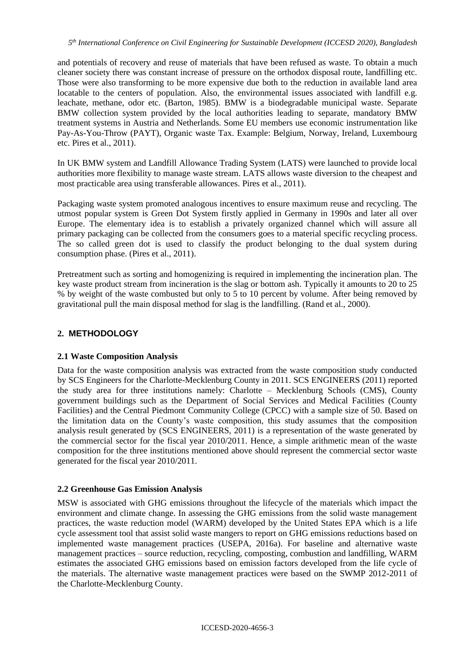and potentials of recovery and reuse of materials that have been refused as waste. To obtain a much cleaner society there was constant increase of pressure on the orthodox disposal route, landfilling etc. Those were also transforming to be more expensive due both to the reduction in available land area locatable to the centers of population. Also, the environmental issues associated with landfill e.g. leachate, methane, odor etc. (Barton, 1985). BMW is a biodegradable municipal waste. Separate BMW collection system provided by the local authorities leading to separate, mandatory BMW treatment systems in Austria and Netherlands. Some EU members use economic instrumentation like Pay-As-You-Throw (PAYT), Organic waste Tax. Example: Belgium, Norway, Ireland, Luxembourg etc. Pires et al., 2011).

In UK BMW system and Landfill Allowance Trading System (LATS) were launched to provide local authorities more flexibility to manage waste stream. LATS allows waste diversion to the cheapest and most practicable area using transferable allowances. Pires et al., 2011).

Packaging waste system promoted analogous incentives to ensure maximum reuse and recycling. The utmost popular system is Green Dot System firstly applied in Germany in 1990s and later all over Europe. The elementary idea is to establish a privately organized channel which will assure all primary packaging can be collected from the consumers goes to a material specific recycling process. The so called green dot is used to classify the product belonging to the dual system during consumption phase. (Pires et al., 2011).

Pretreatment such as sorting and homogenizing is required in implementing the incineration plan. The key waste product stream from incineration is the slag or bottom ash. Typically it amounts to 20 to 25 % by weight of the waste combusted but only to 5 to 10 percent by volume. After being removed by gravitational pull the main disposal method for slag is the landfilling. (Rand et al., 2000).

# **2. METHODOLOGY**

# **2.1 Waste Composition Analysis**

Data for the waste composition analysis was extracted from the waste composition study conducted by SCS Engineers for the Charlotte-Mecklenburg County in 2011. SCS ENGINEERS (2011) reported the study area for three institutions namely: Charlotte – Mecklenburg Schools (CMS), County government buildings such as the Department of Social Services and Medical Facilities (County Facilities) and the Central Piedmont Community College (CPCC) with a sample size of 50. Based on the limitation data on the County's waste composition, this study assumes that the composition analysis result generated by (SCS ENGINEERS, 2011) is a representation of the waste generated by the commercial sector for the fiscal year 2010/2011. Hence, a simple arithmetic mean of the waste composition for the three institutions mentioned above should represent the commercial sector waste generated for the fiscal year 2010/2011.

## **2.2 Greenhouse Gas Emission Analysis**

MSW is associated with GHG emissions throughout the lifecycle of the materials which impact the environment and climate change. In assessing the GHG emissions from the solid waste management practices, the waste reduction model (WARM) developed by the United States EPA which is a life cycle assessment tool that assist solid waste mangers to report on GHG emissions reductions based on implemented waste management practices (USEPA, 2016a). For baseline and alternative waste management practices – source reduction, recycling, composting, combustion and landfilling, WARM estimates the associated GHG emissions based on emission factors developed from the life cycle of the materials. The alternative waste management practices were based on the SWMP 2012-2011 of the Charlotte-Mecklenburg County.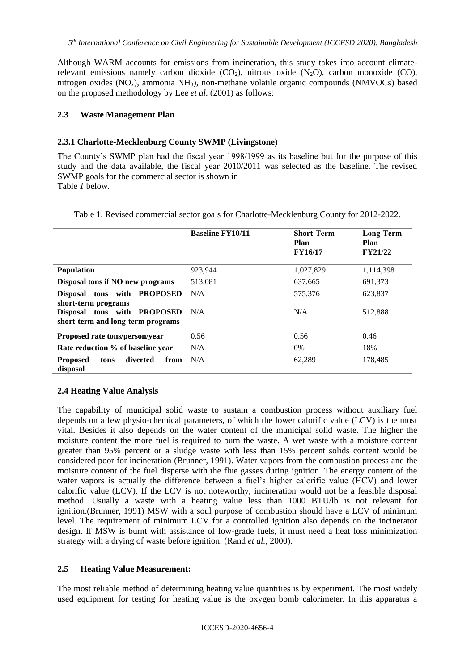Although WARM accounts for emissions from incineration, this study takes into account climaterelevant emissions namely carbon dioxide  $(CO_2)$ , nitrous oxide  $(N_2O)$ , carbon monoxide  $(CO)$ , nitrogen oxides (NO<sub>x</sub>), ammonia NH<sub>3</sub>), non-methane volatile organic compounds (NMVOCs) based on the proposed methodology by Lee *et al.* (2001) as follows:

#### **2.3 Waste Management Plan**

#### **2.3.1 Charlotte-Mecklenburg County SWMP (Livingstone)**

The County's SWMP plan had the fiscal year 1998/1999 as its baseline but for the purpose of this study and the data available, the fiscal year 2010/2011 was selected as the baseline. The revised SWMP goals for the commercial sector is shown in [Table](#page-3-0) *1* below.

<span id="page-3-0"></span>

Table 1. Revised commercial sector goals for Charlotte-Mecklenburg County for 2012-2022.

|                                                                  | <b>Baseline FY10/11</b> | <b>Short-Term</b><br>Plan<br><b>FY16/17</b> | Long-Term<br>Plan<br><b>FY21/22</b> |
|------------------------------------------------------------------|-------------------------|---------------------------------------------|-------------------------------------|
| <b>Population</b>                                                | 923,944                 | 1,027,829                                   | 1,114,398                           |
| Disposal tons if NO new programs                                 | 513,081                 | 637,665                                     | 691,373                             |
| <b>PROPOSED</b><br>Disposal tons with<br>short-term programs     | N/A                     | 575,376                                     | 623,837                             |
| Disposal tons with PROPOSED<br>short-term and long-term programs | N/A                     | N/A                                         | 512,888                             |
| Proposed rate tons/person/year                                   | 0.56                    | 0.56                                        | 0.46                                |
| Rate reduction % of baseline year                                | N/A                     | $0\%$                                       | 18%                                 |
| diverted<br>from<br><b>Proposed</b><br>tons<br>disposal          | N/A                     | 62,289                                      | 178,485                             |

## **2.4 Heating Value Analysis**

The capability of municipal solid waste to sustain a combustion process without auxiliary fuel depends on a few physio-chemical parameters, of which the lower calorific value (LCV) is the most vital. Besides it also depends on the water content of the municipal solid waste. The higher the moisture content the more fuel is required to burn the waste. A wet waste with a moisture content greater than 95% percent or a sludge waste with less than 15% percent solids content would be considered poor for incineration (Brunner, 1991). Water vapors from the combustion process and the moisture content of the fuel disperse with the flue gasses during ignition. The energy content of the water vapors is actually the difference between a fuel's higher calorific value (HCV) and lower calorific value (LCV). If the LCV is not noteworthy, incineration would not be a feasible disposal method. Usually a waste with a heating value less than 1000 BTU/lb is not relevant for ignition.(Brunner, 1991) MSW with a soul purpose of combustion should have a LCV of minimum level. The requirement of minimum LCV for a controlled ignition also depends on the incinerator design. If MSW is burnt with assistance of low-grade fuels, it must need a heat loss minimization strategy with a drying of waste before ignition. (Rand *et al.*, 2000).

## **2.5 Heating Value Measurement:**

The most reliable method of determining heating value quantities is by experiment. The most widely used equipment for testing for heating value is the oxygen bomb calorimeter. In this apparatus a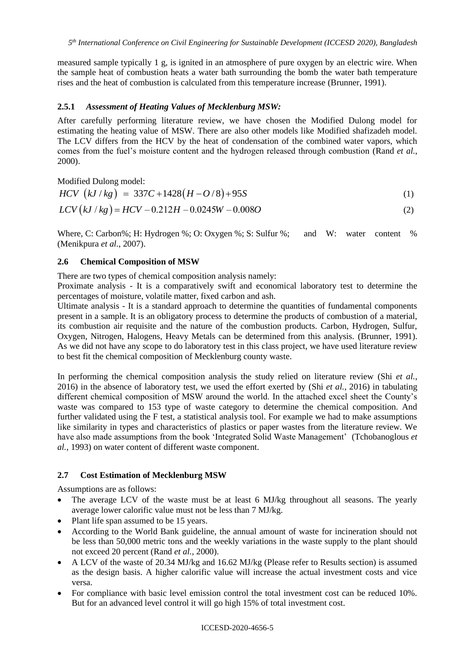measured sample typically 1 g, is ignited in an atmosphere of pure oxygen by an electric wire. When the sample heat of combustion heats a water bath surrounding the bomb the water bath temperature rises and the heat of combustion is calculated from this temperature increase (Brunner, 1991).

## **2.5.1** *Assessment of Heating Values of Mecklenburg MSW:*

After carefully performing literature review, we have chosen the Modified Dulong model for estimating the heating value of MSW. There are also other models like Modified shafizadeh model. The LCV differs from the HCV by the heat of condensation of the combined water vapors, which comes from the fuel's moisture content and the hydrogen released through combustion (Rand *et al.*, 2000).

Modified Dulong model:

$$
HCV \t(kJ / kg) = 337C + 1428(H - O/8) + 95S \t(1)
$$

$$
LCV(kJ/kg) = HCV - 0.212H - 0.0245W - 0.008O
$$
\n(2)

Where, C: Carbon%; H: Hydrogen %; O: Oxygen %; S: Sulfur %; and W: water content % (Menikpura *et al.*, 2007).

## **2.6 Chemical Composition of MSW**

There are two types of chemical composition analysis namely:

Proximate analysis - It is a comparatively swift and economical laboratory test to determine the percentages of moisture, volatile matter, fixed carbon and ash.

Ultimate analysis - It is a standard approach to determine the quantities of fundamental components present in a sample. It is an obligatory process to determine the products of combustion of a material, its combustion air requisite and the nature of the combustion products. Carbon, Hydrogen, Sulfur, Oxygen, Nitrogen, Halogens, Heavy Metals can be determined from this analysis. (Brunner, 1991). As we did not have any scope to do laboratory test in this class project, we have used literature review to best fit the chemical composition of Mecklenburg county waste.

In performing the chemical composition analysis the study relied on literature review (Shi *et al.*, 2016) in the absence of laboratory test, we used the effort exerted by (Shi *et al.*, 2016) in tabulating different chemical composition of MSW around the world. In the attached excel sheet the County's waste was compared to 153 type of waste category to determine the chemical composition. And further validated using the F test, a statistical analysis tool. For example we had to make assumptions like similarity in types and characteristics of plastics or paper wastes from the literature review. We have also made assumptions from the book 'Integrated Solid Waste Management' (Tchobanoglous *et al.*, 1993) on water content of different waste component.

# **2.7 Cost Estimation of Mecklenburg MSW**

Assumptions are as follows:

- The average LCV of the waste must be at least 6 MJ/kg throughout all seasons. The yearly average lower calorific value must not be less than 7 MJ/kg.
- Plant life span assumed to be 15 years.
- According to the World Bank guideline, the annual amount of waste for incineration should not be less than 50,000 metric tons and the weekly variations in the waste supply to the plant should not exceed 20 percent (Rand *et al.*, 2000).
- A LCV of the waste of 20.34 MJ/kg and 16.62 MJ/kg (Please refer to Results section) is assumed as the design basis. A higher calorific value will increase the actual investment costs and vice versa.
- For compliance with basic level emission control the total investment cost can be reduced 10%. But for an advanced level control it will go high 15% of total investment cost.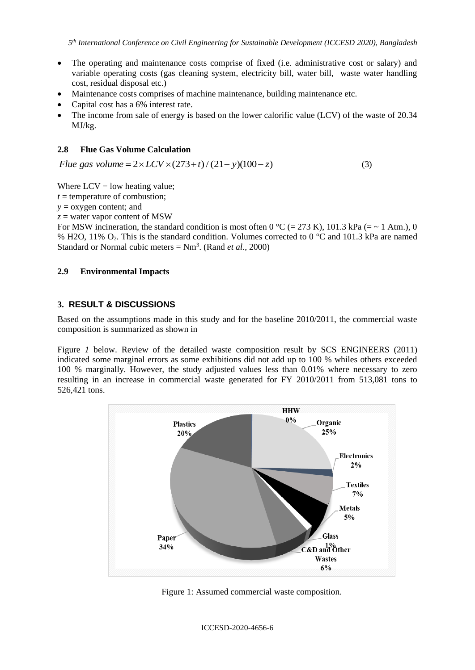- The operating and maintenance costs comprise of fixed (i.e. administrative cost or salary) and variable operating costs (gas cleaning system, electricity bill, water bill, waste water handling cost, residual disposal etc.)
- Maintenance costs comprises of machine maintenance, building maintenance etc.
- Capital cost has a 6% interest rate.
- The income from sale of energy is based on the lower calorific value (LCV) of the waste of 20.34 MJ/kg.

## **2.8 Flue Gas Volume Calculation**

*Flue* gas volume =  $2 \times LCV \times (273 + t) / (21 - y)(100 - z)$  (3)

Where  $LCV = low$  heating value;

 $t =$  temperature of combustion;

*y* = oxygen content; and

*z* = water vapor content of MSW

For MSW incineration, the standard condition is most often 0 °C (= 273 K), 101.3 kPa (= ~ 1 Atm.), 0 % H2O, 11% O2. This is the standard condition. Volumes corrected to 0 °C and 101.3 kPa are named Standard or Normal cubic meters  $= Nm<sup>3</sup>$ . (Rand *et al.*, 2000)

## **2.9 Environmental Impacts**

## **3. RESULT & DISCUSSIONS**

Based on the assumptions made in thi[s study and for the baseline 2010/2011, the commercial waste](#page-5-0)  composition is summarized as shown in

[Figure](#page-5-0) *1* below. Review of the detailed waste composition result by SCS ENGINEERS (2011) indicated some marginal errors as some exhibitions did not add up to 100 % whiles others exceeded 100 % marginally. However, the study adjusted values less than 0.01% where necessary to zero resulting in an increase in commercial waste generated for FY 2010/2011 from 513,081 tons to 526,421 tons.



Figure 1: Assumed commercial waste composition.

<span id="page-5-0"></span>ICCESD-2020-4656-6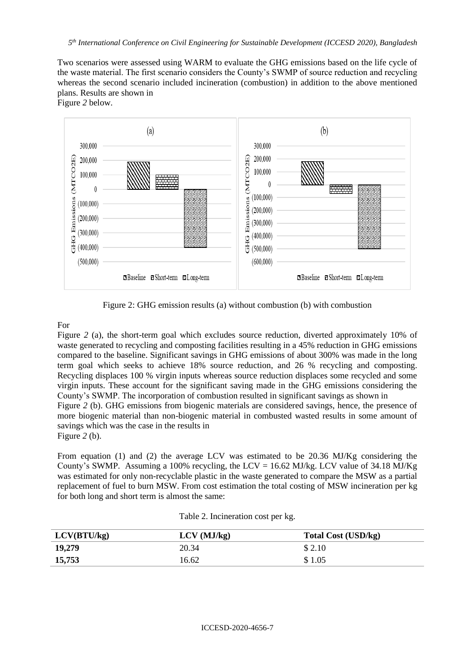Two scenarios were assessed using WARM to evaluate the GHG emissions based on the life cycle of the waste material. The first scenario considers the County's SWMP of source reduction and recycling whereas the second scenario included incineration (combustion) in addition to the above mentioned plans. Results are shown in

[Figure](#page-6-0) *2* below.



Figure 2: GHG emission results (a) without combustion (b) with combustion

#### <span id="page-6-0"></span>For

[Figure](#page-6-0) 2 (a), the short-term goal which excludes source reduction, diverted approximately 10% of waste generated to recycling and composting facilities resulting in a 45% reduction in GHG emissions compared to the baseline. Significant savings in GHG emissions of about 300% was made in the long term goal which seeks to achieve 18% source reduction, and 26 % recycling and composting. Recycling displaces 100 % virgin inputs whereas source reduction displaces some recycled and some virgin inputs. These account for the significant saving made in the GHG emissions considering the County's SWMP. The incorporation of combustion resulted in significant savings as shown in [Figure](#page-6-0) *2* (b). GHG emissions from biogenic materials are considered savings, hence, the presence of more biogenic material than non-biogenic material in combusted wasted results in some amount of savings which was the case in the results in [Figure](#page-6-0) *2* (b).

From equation (1) and (2) the average LCV was estimated to be 20.36 MJ/Kg considering the County's SWMP. Assuming a 100% recycling, the LCV = 16.62 MJ/kg. LCV value of 34.18 MJ/Kg was estimated for only non-recyclable plastic in the waste generated to compare the MSW as a partial replacement of fuel to burn MSW. From cost estimation the total costing of MSW incineration per kg for both long and short term is almost the same:

| LCV(BTU/kg) | $LCV$ (MJ/kg) | <b>Total Cost (USD/kg)</b> |
|-------------|---------------|----------------------------|
| 19,279      | 20.34         | \$ 2.10                    |
| 15,753      | 16.62         | \$1.05                     |

Table 2. Incineration cost per kg.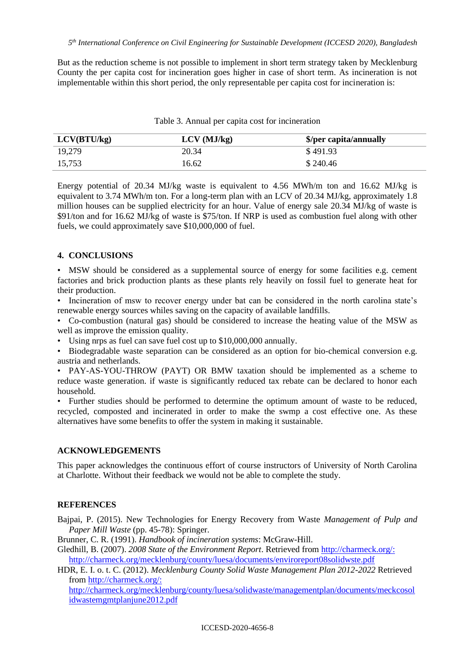But as the reduction scheme is not possible to implement in short term strategy taken by Mecklenburg County the per capita cost for incineration goes higher in case of short term. As incineration is not implementable within this short period, the only representable per capita cost for incineration is:

| LCV(BTU/kg) | $LCV$ (MJ/kg) | \$/per capita/annually |
|-------------|---------------|------------------------|
| 19,279      | 20.34         | \$491.93               |
| 15,753      | 16.62         | \$240.46               |

Table 3. Annual per capita cost for incineration

Energy potential of 20.34 MJ/kg waste is equivalent to 4.56 MWh/m ton and 16.62 MJ/kg is equivalent to 3.74 MWh/m ton. For a long-term plan with an LCV of 20.34 MJ/kg, approximately 1.8 million houses can be supplied electricity for an hour. Value of energy sale 20.34 MJ/kg of waste is \$91/ton and for 16.62 MJ/kg of waste is \$75/ton. If NRP is used as combustion fuel along with other fuels, we could approximately save \$10,000,000 of fuel.

#### **4. CONCLUSIONS**

• MSW should be considered as a supplemental source of energy for some facilities e.g. cement factories and brick production plants as these plants rely heavily on fossil fuel to generate heat for their production.

• Incineration of msw to recover energy under bat can be considered in the north carolina state's renewable energy sources whiles saving on the capacity of available landfills.

• Co-combustion (natural gas) should be considered to increase the heating value of the MSW as well as improve the emission quality.

• Using nrps as fuel can save fuel cost up to \$10,000,000 annually.

• Biodegradable waste separation can be considered as an option for bio-chemical conversion e.g. austria and netherlands.

• PAY-AS-YOU-THROW (PAYT) OR BMW taxation should be implemented as a scheme to reduce waste generation. if waste is significantly reduced tax rebate can be declared to honor each household.

• Further studies should be performed to determine the optimum amount of waste to be reduced, recycled, composted and incinerated in order to make the swmp a cost effective one. As these alternatives have some benefits to offer the system in making it sustainable.

## **ACKNOWLEDGEMENTS**

This paper acknowledges the continuous effort of course instructors of University of North Carolina at Charlotte. Without their feedback we would not be able to complete the study.

#### **REFERENCES**

Bajpai, P. (2015). New Technologies for Energy Recovery from Waste *Management of Pulp and Paper Mill Waste* (pp. 45-78): Springer.

Brunner, C. R. (1991). *Handbook of incineration systems*: McGraw-Hill.

Gledhill, B. (2007). *2008 State of the Environment Report*. Retrieved from<http://charmeck.org/:> <http://charmeck.org/mecklenburg/county/luesa/documents/enviroreport08solidwste.pdf>

HDR, E. I. o. t. C. (2012). *Mecklenburg County Solid Waste Management Plan 2012-2022* Retrieved from<http://charmeck.org/:>

[http://charmeck.org/mecklenburg/county/luesa/solidwaste/managementplan/documents/meckcosol](http://charmeck.org/mecklenburg/county/luesa/solidwaste/managementplan/documents/meckcosolidwastemgmtplanjune2012.pdf) [idwastemgmtplanjune2012.pdf](http://charmeck.org/mecklenburg/county/luesa/solidwaste/managementplan/documents/meckcosolidwastemgmtplanjune2012.pdf)